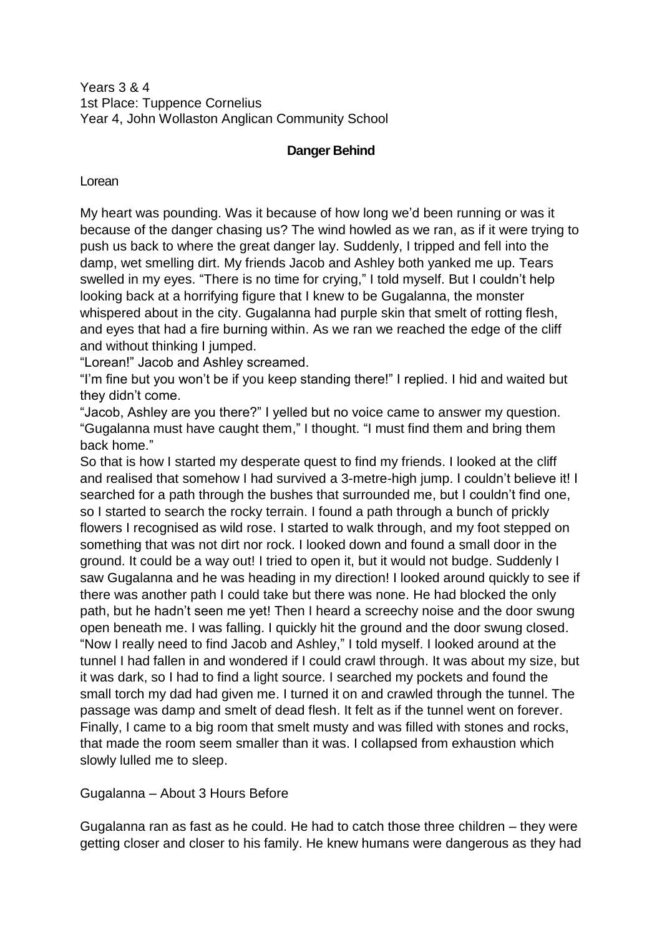Years 3 & 4 1st Place: Tuppence Cornelius Year 4, John Wollaston Anglican Community School

# **Danger Behind**

Lorean

My heart was pounding. Was it because of how long we'd been running or was it because of the danger chasing us? The wind howled as we ran, as if it were trying to push us back to where the great danger lay. Suddenly, I tripped and fell into the damp, wet smelling dirt. My friends Jacob and Ashley both yanked me up. Tears swelled in my eyes. "There is no time for crying," I told myself. But I couldn't help looking back at a horrifying figure that I knew to be Gugalanna, the monster whispered about in the city. Gugalanna had purple skin that smelt of rotting flesh, and eyes that had a fire burning within. As we ran we reached the edge of the cliff and without thinking I jumped.

"Lorean!" Jacob and Ashley screamed.

"I'm fine but you won't be if you keep standing there!" I replied. I hid and waited but they didn't come.

"Jacob, Ashley are you there?" I yelled but no voice came to answer my question. "Gugalanna must have caught them," I thought. "I must find them and bring them back home."

So that is how I started my desperate quest to find my friends. I looked at the cliff and realised that somehow I had survived a 3-metre-high jump. I couldn't believe it! I searched for a path through the bushes that surrounded me, but I couldn't find one, so I started to search the rocky terrain. I found a path through a bunch of prickly flowers I recognised as wild rose. I started to walk through, and my foot stepped on something that was not dirt nor rock. I looked down and found a small door in the ground. It could be a way out! I tried to open it, but it would not budge. Suddenly I saw Gugalanna and he was heading in my direction! I looked around quickly to see if there was another path I could take but there was none. He had blocked the only path, but he hadn't seen me yet! Then I heard a screechy noise and the door swung open beneath me. I was falling. I quickly hit the ground and the door swung closed. "Now I really need to find Jacob and Ashley," I told myself. I looked around at the tunnel I had fallen in and wondered if I could crawl through. It was about my size, but it was dark, so I had to find a light source. I searched my pockets and found the small torch my dad had given me. I turned it on and crawled through the tunnel. The passage was damp and smelt of dead flesh. It felt as if the tunnel went on forever. Finally, I came to a big room that smelt musty and was filled with stones and rocks, that made the room seem smaller than it was. I collapsed from exhaustion which slowly lulled me to sleep.

Gugalanna – About 3 Hours Before

Gugalanna ran as fast as he could. He had to catch those three children – they were getting closer and closer to his family. He knew humans were dangerous as they had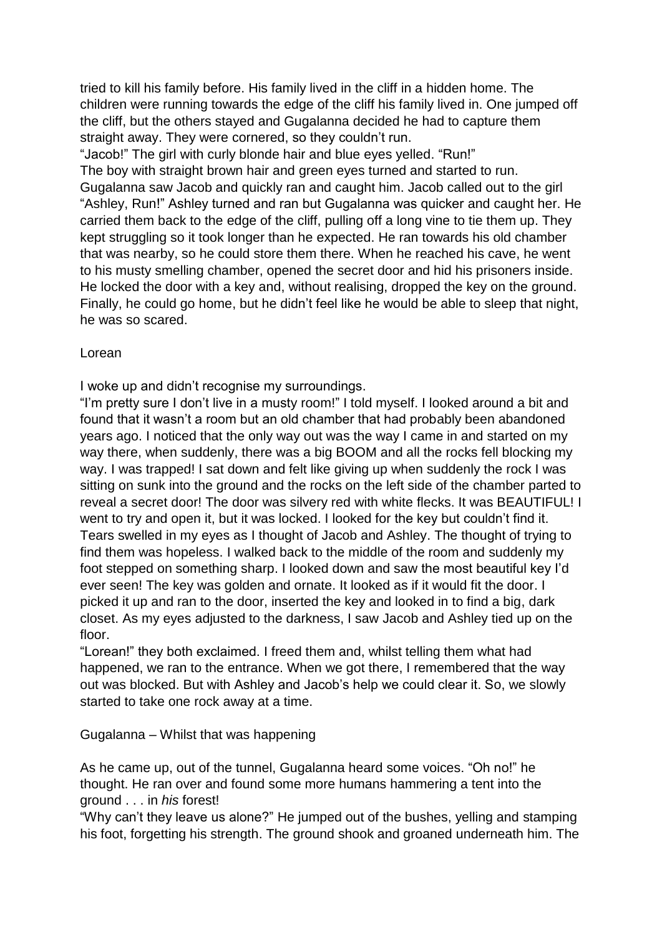tried to kill his family before. His family lived in the cliff in a hidden home. The children were running towards the edge of the cliff his family lived in. One jumped off the cliff, but the others stayed and Gugalanna decided he had to capture them straight away. They were cornered, so they couldn't run.

"Jacob!" The girl with curly blonde hair and blue eyes yelled. "Run!" The boy with straight brown hair and green eyes turned and started to run. Gugalanna saw Jacob and quickly ran and caught him. Jacob called out to the girl "Ashley, Run!" Ashley turned and ran but Gugalanna was quicker and caught her. He carried them back to the edge of the cliff, pulling off a long vine to tie them up. They kept struggling so it took longer than he expected. He ran towards his old chamber that was nearby, so he could store them there. When he reached his cave, he went to his musty smelling chamber, opened the secret door and hid his prisoners inside. He locked the door with a key and, without realising, dropped the key on the ground. Finally, he could go home, but he didn't feel like he would be able to sleep that night, he was so scared.

### Lorean

I woke up and didn't recognise my surroundings.

"I'm pretty sure I don't live in a musty room!" I told myself. I looked around a bit and found that it wasn't a room but an old chamber that had probably been abandoned years ago. I noticed that the only way out was the way I came in and started on my way there, when suddenly, there was a big BOOM and all the rocks fell blocking my way. I was trapped! I sat down and felt like giving up when suddenly the rock I was sitting on sunk into the ground and the rocks on the left side of the chamber parted to reveal a secret door! The door was silvery red with white flecks. It was BEAUTIFUL! I went to try and open it, but it was locked. I looked for the key but couldn't find it. Tears swelled in my eyes as I thought of Jacob and Ashley. The thought of trying to find them was hopeless. I walked back to the middle of the room and suddenly my foot stepped on something sharp. I looked down and saw the most beautiful key I'd ever seen! The key was golden and ornate. It looked as if it would fit the door. I picked it up and ran to the door, inserted the key and looked in to find a big, dark closet. As my eyes adjusted to the darkness, I saw Jacob and Ashley tied up on the floor.

"Lorean!" they both exclaimed. I freed them and, whilst telling them what had happened, we ran to the entrance. When we got there, I remembered that the way out was blocked. But with Ashley and Jacob's help we could clear it. So, we slowly started to take one rock away at a time.

Gugalanna – Whilst that was happening

As he came up, out of the tunnel, Gugalanna heard some voices. "Oh no!" he thought. He ran over and found some more humans hammering a tent into the ground . . . in *his* forest!

"Why can't they leave us alone?" He jumped out of the bushes, yelling and stamping his foot, forgetting his strength. The ground shook and groaned underneath him. The